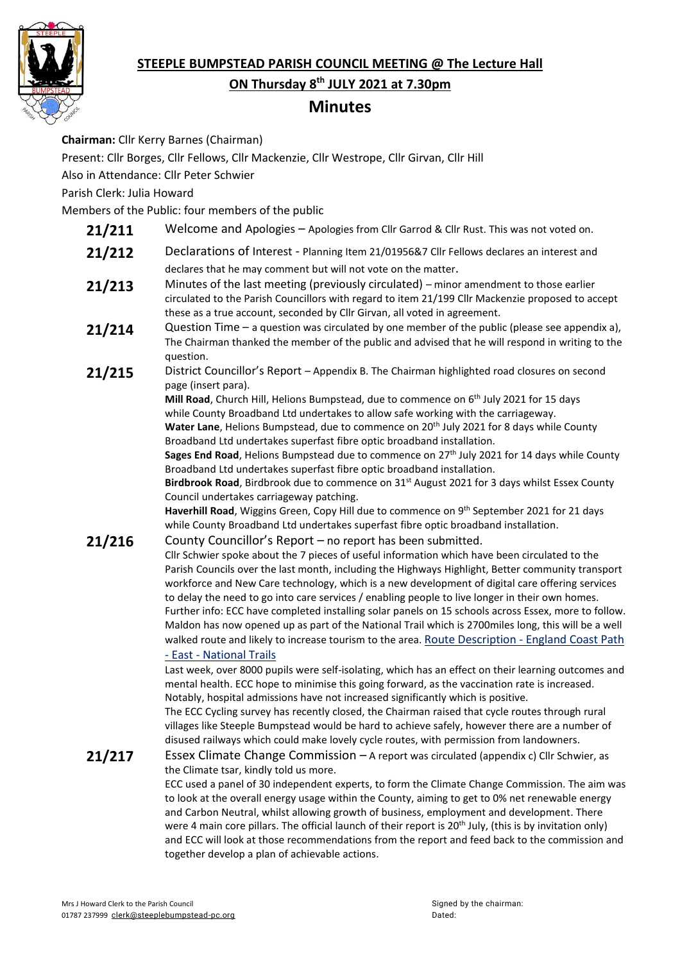

# **STEEPLE BUMPSTEAD PARISH COUNCIL MEETING @ The Lecture Hall**

**ON Thursday 8 th JULY 2021 at 7.30pm**

# **Minutes**

**Chairman:** Cllr Kerry Barnes (Chairman)

Present: Cllr Borges, Cllr Fellows, Cllr Mackenzie, Cllr Westrope, Cllr Girvan, Cllr Hill

Also in Attendance: Cllr Peter Schwier

Parish Clerk: Julia Howard

Members of the Public: four members of the public

- 21/211 Welcome and Apologies Apologies from Cllr Garrod & Cllr Rust. This was not voted on.
- 21/212 Declarations of Interest Planning Item 21/01956&7 Cllr Fellows declares an interest and declares that he may comment but will not vote on the matter.
- 21/213 Minutes of the last meeting (previously circulated) minor amendment to those earlier circulated to the Parish Councillors with regard to item 21/199 Cllr Mackenzie proposed to accept these as a true account, seconded by Cllr Girvan, all voted in agreement.
- 21/214 Question Time a question was circulated by one member of the public (please see appendix a), The Chairman thanked the member of the public and advised that he will respond in writing to the question.
- 21/215 District Councillor's Report Appendix B. The Chairman highlighted road closures on second page (insert para).

**Mill Road**, Church Hill, Helions Bumpstead, due to commence on 6 th July 2021 for 15 days while County Broadband Ltd undertakes to allow safe working with the carriageway.

Water Lane, Helions Bumpstead, due to commence on 20<sup>th</sup> July 2021 for 8 days while County Broadband Ltd undertakes superfast fibre optic broadband installation.

**Sages End Road**, Helions Bumpstead due to commence on 27th July 2021 for 14 days while County Broadband Ltd undertakes superfast fibre optic broadband installation.

**Birdbrook Road**, Birdbrook due to commence on 31st August 2021 for 3 days whilst Essex County Council undertakes carriageway patching.

**Haverhill Road**, Wiggins Green, Copy Hill due to commence on 9<sup>th</sup> September 2021 for 21 days while County Broadband Ltd undertakes superfast fibre optic broadband installation.

## 21/216 County Councillor's Report – no report has been submitted.

Cllr Schwier spoke about the 7 pieces of useful information which have been circulated to the Parish Councils over the last month, including the Highways Highlight, Better community transport workforce and New Care technology, which is a new development of digital care offering services to delay the need to go into care services / enabling people to live longer in their own homes. Further info: ECC have completed installing solar panels on 15 schools across Essex, more to follow. Maldon has now opened up as part of the National Trail which is 2700miles long, this will be a well walked route and likely to increase tourism to the area. Route [Description](https://www.nationaltrail.co.uk/en_GB/trails/england-coast-path-east/route/) - England Coast Path

# - East - [National](https://www.nationaltrail.co.uk/en_GB/trails/england-coast-path-east/route/) Trails

Last week, over 8000 pupils were self-isolating, which has an effect on their learning outcomes and mental health. ECC hope to minimise this going forward, as the vaccination rate is increased. Notably, hospital admissions have not increased significantly which is positive.

The ECC Cycling survey has recently closed, the Chairman raised that cycle routes through rural villages like Steeple Bumpstead would be hard to achieve safely, however there are a number of disused railways which could make lovely cycle routes, with permission from landowners.

## 21/217 Essex Climate Change Commission – A report was circulated (appendix c) Cllr Schwier, as the Climate tsar, kindly told us more.

ECC used a panel of 30 independent experts, to form the Climate Change Commission. The aim was to look at the overall energy usage within the County, aiming to get to 0% net renewable energy and Carbon Neutral, whilst allowing growth of business, employment and development. There were 4 main core pillars. The official launch of their report is 20<sup>th</sup> July, (this is by invitation only) and ECC will look at those recommendations from the report and feed back to the commission and together develop a plan of achievable actions.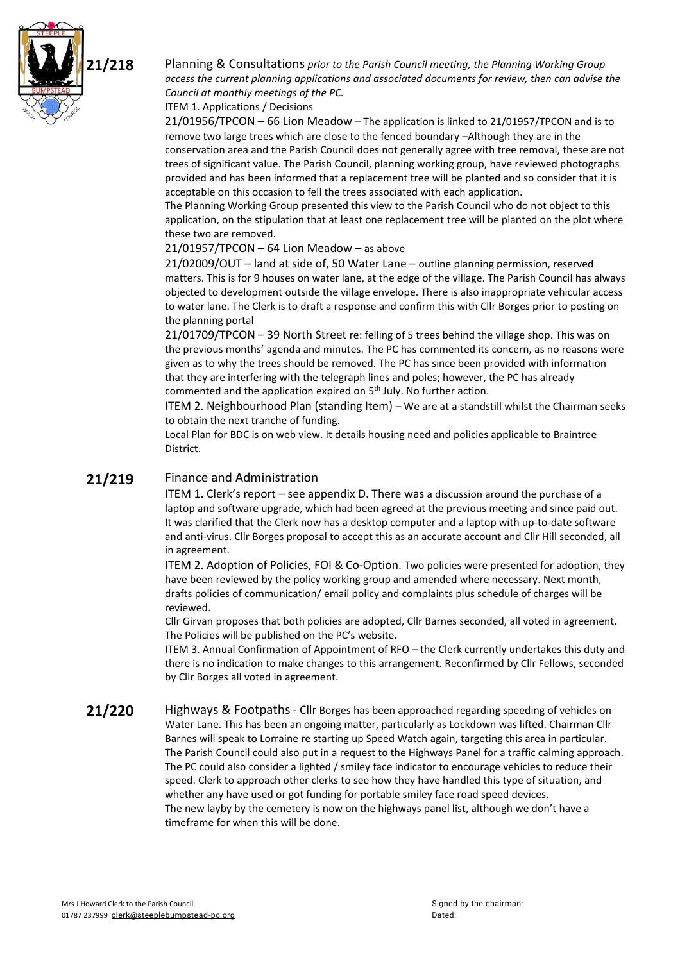

**21/218** Planning & Consultations *prior to the Parish Council meeting, the Planning Working Group access the current planning applications and associated documents for review, then can advise the Council at monthly meetings of the PC.*

ITEM 1. Applications / Decisions

21/01956/TPCON – 66 Lion Meadow – The application is linked to 21/01957/TPCON and is to remove two large trees which are close to the fenced boundary –Although they are in the conservation area and the Parish Council does not generally agree with tree removal, these are not trees of significant value. The Parish Council, planning working group, have reviewed photographs provided and has been informed that a replacement tree will be planted and so consider that it is acceptable on this occasion to fell the trees associated with each application.

The Planning Working Group presented this view to the Parish Council who do not object to this application, on the stipulation that at least one replacement tree will be planted on the plot where these two are removed.

## 21/01957/TPCON – 64 Lion Meadow – as above

21/02009/OUT – land at side of, 50 Water Lane – outline planning permission, reserved matters. This is for 9 houses on water lane, at the edge of the village. The Parish Council has always objected to development outside the village envelope. There is also inappropriate vehicular access to water lane. The Clerk is to draft a response and confirm this with Cllr Borges prior to posting on the planning portal

21/01709/TPCON – 39 North Street re: felling of 5 trees behind the village shop. This was on the previous months' agenda and minutes. The PC has commented its concern, as no reasons were given as to why the trees should be removed. The PC has since been provided with information that they are interfering with the telegraph lines and poles; however, the PC has already commented and the application expired on 5<sup>th</sup> July. No further action.

ITEM 2. Neighbourhood Plan (standing Item) – We are at a standstill whilst the Chairman seeks to obtain the next tranche of funding.

Local Plan for BDC is on web view. It details housing need and policies applicable to Braintree District.

# 21/219 Finance and Administration

ITEM 1. Clerk's report – see appendix D. There was a discussion around the purchase of a laptop and software upgrade, which had been agreed at the previous meeting and since paid out. It was clarified that the Clerk now has a desktop computer and a laptop with up-to-date software and anti-virus. Cllr Borges proposal to accept this as an accurate account and Cllr Hill seconded, all in agreement.

ITEM 2. Adoption of Policies, FOI & Co-Option. Two policies were presented for adoption, they have been reviewed by the policy working group and amended where necessary. Next month, drafts policies of communication/ email policy and complaints plus schedule of charges will be reviewed.

Cllr Girvan proposes that both policies are adopted, Cllr Barnes seconded, all voted in agreement. The Policies will be published on the PC's website.

ITEM 3. Annual Confirmation of Appointment of RFO – the Clerk currently undertakes this duty and there is no indication to make changes to this arrangement. Reconfirmed by Cllr Fellows, seconded by Cllr Borges all voted in agreement.

21/220 Highways & Footpaths - Cllr Borges has been approached regarding speeding of vehicles on Water Lane. This has been an ongoing matter, particularly as Lockdown was lifted. Chairman Cllr Barnes will speak to Lorraine re starting up Speed Watch again, targeting this area in particular. The Parish Council could also put in a request to the Highways Panel for a traffic calming approach. The PC could also consider a lighted / smiley face indicator to encourage vehicles to reduce their speed. Clerk to approach other clerks to see how they have handled this type of situation, and whether any have used or got funding for portable smiley face road speed devices. The new layby by the cemetery is now on the highways panel list, although we don't have a timeframe for when this will be done.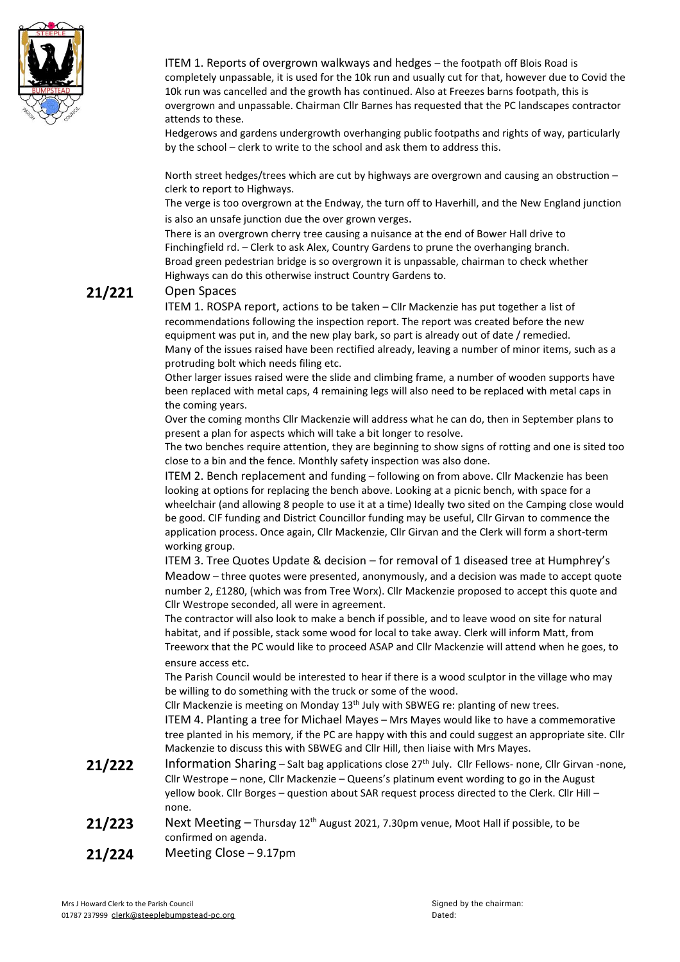

ITEM 1. Reports of overgrown walkways and hedges – the footpath off Blois Road is completely unpassable, it is used for the 10k run and usually cut for that, however due to Covid the 10k run was cancelled and the growth has continued. Also at Freezes barns footpath, this is overgrown and unpassable. Chairman Cllr Barnes has requested that the PC landscapes contractor attends to these.

Hedgerows and gardens undergrowth overhanging public footpaths and rights of way, particularly by the school – clerk to write to the school and ask them to address this.

North street hedges/trees which are cut by highways are overgrown and causing an obstruction – clerk to report to Highways.

The verge is too overgrown at the Endway, the turn off to Haverhill, and the New England junction is also an unsafe junction due the over grown verges.

There is an overgrown cherry tree causing a nuisance at the end of Bower Hall drive to Finchingfield rd. – Clerk to ask Alex, Country Gardens to prune the overhanging branch. Broad green pedestrian bridge is so overgrown it is unpassable, chairman to check whether Highways can do this otherwise instruct Country Gardens to.

## **21/221** Open Spaces

ITEM 1. ROSPA report, actions to be taken – Cllr Mackenzie has put together a list of recommendations following the inspection report. The report was created before the new equipment was put in, and the new play bark, so part is already out of date / remedied. Many of the issues raised have been rectified already, leaving a number of minor items, such as a protruding bolt which needs filing etc.

Other larger issues raised were the slide and climbing frame, a number of wooden supports have been replaced with metal caps, 4 remaining legs will also need to be replaced with metal caps in the coming years.

Over the coming months Cllr Mackenzie will address what he can do, then in September plans to present a plan for aspects which will take a bit longer to resolve.

The two benches require attention, they are beginning to show signs of rotting and one is sited too close to a bin and the fence. Monthly safety inspection was also done.

ITEM 2. Bench replacement and funding – following on from above. Cllr Mackenzie has been looking at options for replacing the bench above. Looking at a picnic bench, with space for a wheelchair (and allowing 8 people to use it at a time) Ideally two sited on the Camping close would be good. CIF funding and District Councillor funding may be useful, Cllr Girvan to commence the application process. Once again, Cllr Mackenzie, Cllr Girvan and the Clerk will form a short-term working group.

ITEM 3. Tree Quotes Update & decision – for removal of 1 diseased tree at Humphrey's Meadow – three quotes were presented, anonymously, and a decision was made to accept quote number 2, £1280, (which was from Tree Worx). Cllr Mackenzie proposed to accept this quote and Cllr Westrope seconded, all were in agreement.

The contractor will also look to make a bench if possible, and to leave wood on site for natural habitat, and if possible, stack some wood for local to take away. Clerk will inform Matt, from Treeworx that the PC would like to proceed ASAP and Cllr Mackenzie will attend when he goes, to ensure access etc.

The Parish Council would be interested to hear if there is a wood sculptor in the village who may be willing to do something with the truck or some of the wood.

Cllr Mackenzie is meeting on Monday  $13<sup>th</sup>$  July with SBWEG re: planting of new trees. ITEM 4. Planting a tree for Michael Mayes – Mrs Mayes would like to have a commemorative tree planted in his memory, if the PC are happy with this and could suggest an appropriate site. Cllr Mackenzie to discuss this with SBWEG and Cllr Hill, then liaise with Mrs Mayes.

- 21/222 Information Sharing Salt bag applications close 27<sup>th</sup> July. Cllr Fellows- none, Cllr Girvan -none, Cllr Westrope – none, Cllr Mackenzie – Queens's platinum event wording to go in the August yellow book. Cllr Borges – question about SAR request process directed to the Clerk. Cllr Hill – none.
- 21/223 Next Meeting Thursday 12<sup>th</sup> August 2021, 7.30pm venue, Moot Hall if possible, to be confirmed on agenda.
- **21/224** Meeting Close 9.17pm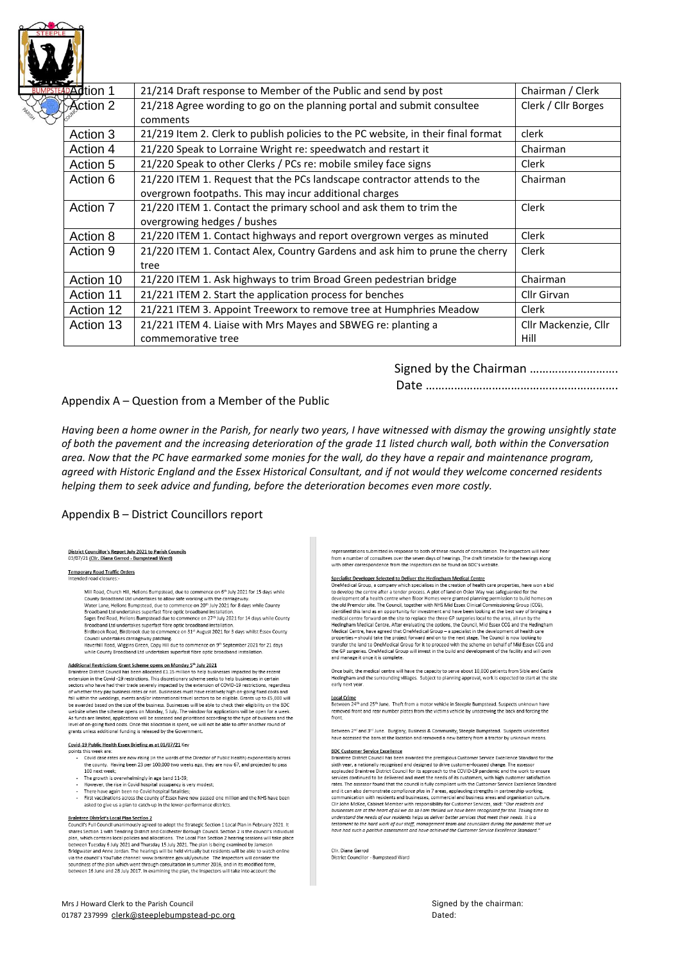| <b>Adtion 1</b> | 21/214 Draft response to Member of the Public and send by post                    | Chairman / Clerk    |
|-----------------|-----------------------------------------------------------------------------------|---------------------|
| Action 2⊤       | 21/218 Agree wording to go on the planning portal and submit consultee            | Clerk / Cllr Borges |
|                 | comments                                                                          |                     |
| Action 3        | 21/219 Item 2. Clerk to publish policies to the PC website, in their final format | clerk               |
| Action 4        | 21/220 Speak to Lorraine Wright re: speedwatch and restart it                     | Chairman            |
| Action 5        | 21/220 Speak to other Clerks / PCs re: mobile smiley face signs                   | Clerk               |
| Action 6        | 21/220 ITEM 1. Request that the PCs landscape contractor attends to the           | Chairman            |
|                 | overgrown footpaths. This may incur additional charges                            |                     |
| Action 7        | 21/220 ITEM 1. Contact the primary school and ask them to trim the                | Clerk               |
|                 | overgrowing hedges / bushes                                                       |                     |
| Action 8        | 21/220 ITEM 1. Contact highways and report overgrown verges as minuted            | Clerk               |
| Action 9        | 21/220 ITEM 1. Contact Alex, Country Gardens and ask him to prune the cherry      | Clerk               |
|                 | tree                                                                              |                     |
| Action 10       | 21/220 ITEM 1. Ask highways to trim Broad Green pedestrian bridge                 | Chairman            |
| Action 11       | 21/221 ITEM 2. Start the application process for benches                          | Cllr Girvan         |
| Action 12       | 21/221 ITEM 3. Appoint Treeworx to remove tree at Humphries Meadow                | Clerk               |
| Action 13       | 21/221 ITEM 4. Liaise with Mrs Mayes and SBWEG re: planting a                     |                     |
|                 | commemorative tree                                                                | Hill                |
|                 |                                                                                   |                     |

## 

### Appendix A - Question from a Member of the Public

Having been a home owner in the Parish, for nearly two years, I have witnessed with dismay the growing unsightly state of both the pavement and the increasing deterioration of the grade 11 listed church wall, both within the Conversation area. Now that the PC have earmarked some monies for the wall, do they have a repair and maintenance program, agreed with Historic England and the Essex Historical Consultant, and if not would they welcome concerned residents helping them to seek advice and funding, before the deterioration becomes even more costly.

### Appendix B - District Councillors report

# District Councillor's Report July 2021 to Parish Councils<br>03/07/21 (Cllr. Diana Garrod - Bumpstead Ward)

## **Temporary Road Traffic Orders**

Mill Road, Church Hill, Helions Bumpstead, due to commence on 6<sup>th</sup> July 2021 for 15 days while county Broadband Ltd undertakes to allow safe working with the carriageway.<br>Water Lane, Helions Bumpstead, due to commence on 20<sup>th</sup> July 2021 for 8 days while County Broadband Ltd undertakes superfast fibre optic broadband installatio Sages End Road. Helions Bumpstead due to commence on 27th July 2021 for 14 days while County Sages Eral Road, Heilons Bumpstead due to commence on  $27^{\text{m}}$  July 2021 for 14 days while County<br>Broadband Ltd undertakes superfast fibre optic broadband installation.<br>Birdbrook Road, Birdbrook due to commence on 31<sup>-1</sup>

## Additional Restrictions Grant Scheme opens on Monday 5th July 2021<br>Braintree District Council has been allocated £1.15 million to help businesses impacted by the recent

extension in the Covid -19 restrictions. This discretionary scheme seeks to help businesses in certain sectors who have had their trade severely impacted by the extension of COVID-19 restrictions, regardless<br>of whether they pay business rates or not. Businesses must have relatively high on-going fixed costs and fall within the weddings, events and/or international travel sectors to be eligible. Grants up to £5,000 will fall within the weddings, events and/or international travel sectors to be eligible. Grants up to  $\pm$  0.5,000 will<br>be awarded based on the size of the business. Businesses will be able to check their eligibility on the BD

#### Covid-19 Public Health Essex Briefing as at 01/07/21 Key

- points this week are:<br>Covid case rates are now rising (in the words of the Director of Public He
	- Ith) exponentially across the county. Having been 23 per 100,000 two weeks ago, they are now 67, and projected to pass 100 next week;
- The growth is overwhelmingly in age band 11-39;
- Hov ever, the rise in Covid hospital occupancy is very modest;
- 
- asked to give us a plan to catch-up in the lower-performance districts

#### **Braintree District's Local Plan Section 2**

**Brammere Unstructs Local Prim Section 4**<br>Council's Full Council unanimously agreed to adopt the Strategic Section 1 Local Plan in February 2021. It<br>shares Section 1 with Tendring District and Colchester Borough Council. S between Tuesday 6 July 2021 and Thursday 15 July 2021. The plan is being examined by Jameson Bridgwater and Anne Jordan. The hearings will be held virtually but residents will be able to watch online what we council's YouTube channel: www.braintree.gov.uk/youtube. The Inspectors will consider the<br>southeress of the plan which went through consideration is summer 2016, and in its modified from,<br>southers of the plan which

Mrs J Howard Clerk to the Parish Council 01787 237999 clerk@steeplebumpstead-pc.org representations submitted in response to both of these rounds of consultation. The Inspectors will bear esentations submitted in response to both or these rounds or consultation<br>i a number of consultees over the seven days of hearings. The draft timeta<br>i other correspondence from the Inspectors can be found on BDC's website le for the hearings along

Specialist Developer Selected to Deliver the Hedingham Medical Centre<br>
one blevisla Group, a company which specialises in the creation of health care properties, have won a bid<br>
OneMedical Group, a company which specialise identified this land as an opportunity for investment and have been looking at the best way of bringing a medical centre forward on the site to replace the three GP surgeries local to the area, all run by the Hedingham Med

Once built, the medical centre will have the capacity to serve about 10,000 patients from Sible and Castle Hedingham and the surrounding villages. Subject to planning approval, work is expected to start at the site<br>early next year.

#### **Local Crime**

Between 24<sup>th</sup> and 25<sup>th</sup> June. Theft from a motor vehicle in Steeple Bumpstead. Suspects unknown have removed front and rear number plates from the victims vehicle by unscrewing the back and forcing the

Between 2<sup>nd</sup> and 3<sup>rd</sup> June. Burglary; Business & Community; Steeple Bumpstead. Suspects unidentified<br>have accessed the barn at the location and removed a new battery from a tractor by unknown means.

BDC Customer Service Excellence<br>Braintree District Council has been awarded the prestigious Customer Service Excellence Standard for the sixth year, a nationally recognised and designed to drive customer-focused change. The assessor<br>applauded Braintree District Council for its approach to the COVID-19 pandemic and the work to ensure services continued to be delivered and meet the needs of its customers, with high customer satisfaction<br>rates. The assessor found that the council is fully compliant with the Customer Service Excellence Standard recurs that also demonstrate compliance plus in 7 erres, applauding strengths in partnership working,<br>communication with residents and businesses, commercial and business areas and organisation culture.<br>Clir John McKee, Ca on sourcides, come memory warresponsionly to cosomer services, said. Our residence and<br>businesses are at the heart of all we do so I am thrilled we have been recognised for this. Taking time to usinesses are at the neart of ail we ao so i am minilea we nave been recognised for this. Taking the<br>inderstand the needs of our residents helps us deliver better services that meet their needs. It is a<br>estament to the har

Clir. Diana Garrod<br>District Councillor - Bumpstead Ward

Signed by the chairman: Dated: